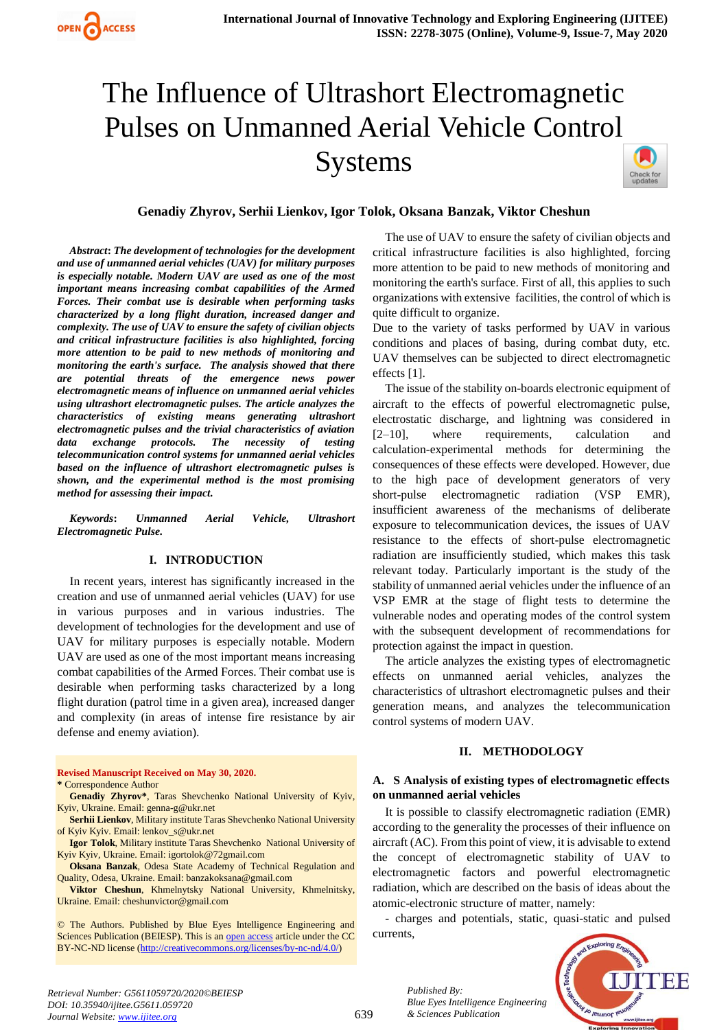# The Influence of Ultrashort Electromagnetic Pulses on Unmanned Aerial Vehicle Control Systems



# **Genadiy Zhyrov, Serhii Lienkov, Igor Tolok, Oksana Banzak, Viktor Cheshun**

*Abstract***:** *The development of technologies for the development and use of unmanned aerial vehicles (UAV) for military purposes is especially notable. Modern UAV are used as one of the most important means increasing combat capabilities of the Armed Forces. Their combat use is desirable when performing tasks characterized by a long flight duration, increased danger and complexity. The use of UAV to ensure the safety of civilian objects and critical infrastructure facilities is also highlighted, forcing more attention to be paid to new methods of monitoring and monitoring the earth's surface. The analysis showed that there are potential threats of the emergence news power electromagnetic means of influence on unmanned aerial vehicles using ultrashort electromagnetic pulses. The article analyzes the characteristics of existing means generating ultrashort electromagnetic pulses and the trivial characteristics of aviation data exchange protocols. The necessity of testing telecommunication control systems for unmanned aerial vehicles based on the influence of ultrashort electromagnetic pulses is shown, and the experimental method is the most promising method for assessing their impact.* 

*Keywords***:** *Unmanned Aerial Vehicle, Ultrashort Electromagnetic Pulse.* 

#### **I. INTRODUCTION**

In recent years, interest has significantly increased in the creation and use of unmanned aerial vehicles (UAV) for use in various purposes and in various industries. The development of technologies for the development and use of UAV for military purposes is especially notable. Modern UAV are used as one of the most important means increasing combat capabilities of the Armed Forces. Their combat use is desirable when performing tasks characterized by a long flight duration (patrol time in a given area), increased danger and complexity (in areas of intense fire resistance by air defense and enemy aviation).

#### **Revised Manuscript Received on May 30, 2020. \*** Correspondence Author

**Genadiy Zhyrov\***, Taras Shevchenko National University of Kyiv, Kyiv, Ukraine. Email: genna-g@ukr.net

**Serhii Lienkov**, Military institute Taras Shevchenko National University of Kyiv Kyiv. Email: lenkov\_s@ukr.net

**Igor Tolok**, Military institute Taras Shevchenko National University of Kyiv Kyiv, Ukraine. Email: igortolok@72gmail.com

**Oksana Banzak**, Odesa State Academy of Technical Regulation and Quality, Odesa, Ukraine. Email: banzakoksana@gmail.com

**Viktor Cheshun**, Khmelnytsky National University, Khmelnitsky, Ukraine. Email: cheshunvictor@gmail.com

© The Authors. Published by Blue Eyes Intelligence Engineering and Sciences Publication (BEIESP). This is an [open access](https://www.openaccess.nl/en/open-publications) article under the CC BY-NC-ND license [\(http://creativecommons.org/licenses/by-nc-nd/4.0/\)](http://creativecommons.org/licenses/by-nc-nd/4.0/)

The use of UAV to ensure the safety of civilian objects and critical infrastructure facilities is also highlighted, forcing more attention to be paid to new methods of monitoring and monitoring the earth's surface. First of all, this applies to such organizations with extensive facilities, the control of which is quite difficult to organize.

Due to the variety of tasks performed by UAV in various conditions and places of basing, during combat duty, etc. UAV themselves can be subjected to direct electromagnetic effects [1].

The issue of the stability on-boards electronic equipment of aircraft to the effects of powerful electromagnetic pulse, electrostatic discharge, and lightning was considered in [2–10], where requirements, calculation and calculation-experimental methods for determining the consequences of these effects were developed. However, due to the high pace of development generators of very short-pulse electromagnetic radiation (VSP EMR), insufficient awareness of the mechanisms of deliberate exposure to telecommunication devices, the issues of UAV resistance to the effects of short-pulse electromagnetic radiation are insufficiently studied, which makes this task relevant today. Particularly important is the study of the stability of unmanned aerial vehicles under the influence of an VSP EMR at the stage of flight tests to determine the vulnerable nodes and operating modes of the control system with the subsequent development of recommendations for protection against the impact in question.

The article analyzes the existing types of electromagnetic effects on unmanned aerial vehicles, analyzes the characteristics of ultrashort electromagnetic pulses and their generation means, and analyzes the telecommunication control systems of modern UAV.

### **II. METHODOLOGY**

### **A. S Analysis of existing types of electromagnetic effects on unmanned aerial vehicles**

It is possible to classify electromagnetic radiation (EMR) according to the generality the processes of their influence on aircraft (AC). From this point of view, it is advisable to extend the concept of electromagnetic stability of UAV to electromagnetic factors and powerful electromagnetic radiation, which are described on the basis of ideas about the atomic-electronic structure of matter, namely:

- charges and potentials, static, quasi-static and pulsed currents,



*Retrieval Number: G5611059720/2020©BEIESP DOI: 10.35940/ijitee.G5611.059720 Journal Website: www.ijitee.org*

*Published By: Blue Eyes Intelligence Engineering & Sciences Publication*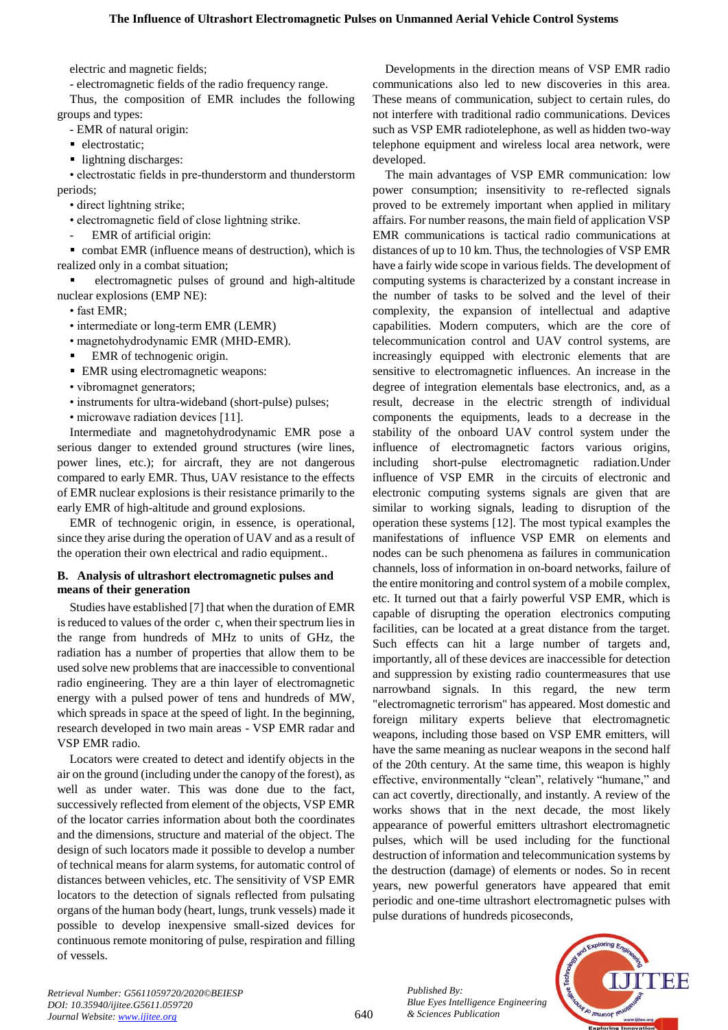electric and magnetic fields;

- electromagnetic fields of the radio frequency range.

Thus, the composition of EMR includes the following groups and types:

- EMR of natural origin:

- electrostatic;
- lightning discharges:

• electrostatic fields in pre-thunderstorm and thunderstorm periods;

• direct lightning strike;

- electromagnetic field of close lightning strike.
- EMR of artificial origin:

 combat EMR (influence means of destruction), which is realized only in a combat situation;

 electromagnetic pulses of ground and high-altitude nuclear explosions (EMP NE):

• fast EMR;

- intermediate or long-term EMR (LEMR)
- magnetohydrodynamic EMR (MHD-EMR).
- EMR of technogenic origin.
- EMR using electromagnetic weapons:
- vibromagnet generators;
- instruments for ultra-wideband (short-pulse) pulses;
- microwave radiation devices [11].

Intermediate and magnetohydrodynamic EMR pose a serious danger to extended ground structures (wire lines, power lines, etc.); for aircraft, they are not dangerous compared to early EMR. Thus, UAV resistance to the effects of EMR nuclear explosions is their resistance primarily to the early EMR of high-altitude and ground explosions.

EMR of technogenic origin, in essence, is operational, since they arise during the operation of UAV and as a result of the operation their own electrical and radio equipment..

# **B. Analysis of ultrashort electromagnetic pulses and means of their generation**

Studies have established [7] that when the duration of EMR is reduced to values of the order c, when their spectrum lies in the range from hundreds of MHz to units of GHz, the radiation has a number of properties that allow them to be used solve new problems that are inaccessible to conventional radio engineering. They are a thin layer of electromagnetic energy with a pulsed power of tens and hundreds of MW, which spreads in space at the speed of light. In the beginning, research developed in two main areas - VSP EMR radar and VSP EMR radio.

Locators were created to detect and identify objects in the air on the ground (including under the canopy of the forest), as well as under water. This was done due to the fact, successively reflected from element of the objects, VSP EMR of the locator carries information about both the coordinates and the dimensions, structure and material of the object. The design of such locators made it possible to develop a number of technical means for alarm systems, for automatic control of distances between vehicles, etc. The sensitivity of VSP EMR locators to the detection of signals reflected from pulsating organs of the human body (heart, lungs, trunk vessels) made it possible to develop inexpensive small-sized devices for continuous remote monitoring of pulse, respiration and filling of vessels.

Developments in the direction means of VSP EMR radio communications also led to new discoveries in this area. These means of communication, subject to certain rules, do not interfere with traditional radio communications. Devices such as VSP EMR radiotelephone, as well as hidden two-way telephone equipment and wireless local area network, were developed.

The main advantages of VSP EMR communication: low power consumption; insensitivity to re-reflected signals proved to be extremely important when applied in military affairs. For number reasons, the main field of application VSP EMR communications is tactical radio communications at distances of up to 10 km. Thus, the technologies of VSP EMR have a fairly wide scope in various fields. The development of computing systems is characterized by a constant increase in the number of tasks to be solved and the level of their complexity, the expansion of intellectual and adaptive capabilities. Modern computers, which are the core of telecommunication control and UAV control systems, are increasingly equipped with electronic elements that are sensitive to electromagnetic influences. An increase in the degree of integration elementals base electronics, and, as a result, decrease in the electric strength of individual components the equipments, leads to a decrease in the stability of the onboard UAV control system under the influence of electromagnetic factors various origins, including short-pulse electromagnetic radiation.Under influence of VSP EMR in the circuits of electronic and electronic computing systems signals are given that are similar to working signals, leading to disruption of the operation these systems [12]. The most typical examples the manifestations of influence VSP EMR on elements and nodes can be such phenomena as failures in communication channels, loss of information in on-board networks, failure of the entire monitoring and control system of a mobile complex, etc. It turned out that a fairly powerful VSP EMR, which is capable of disrupting the operation electronics computing facilities, can be located at a great distance from the target. Such effects can hit a large number of targets and, importantly, all of these devices are inaccessible for detection and suppression by existing radio countermeasures that use narrowband signals. In this regard, the new term "electromagnetic terrorism" has appeared. Most domestic and foreign military experts believe that electromagnetic weapons, including those based on VSP EMR emitters, will have the same meaning as nuclear weapons in the second half of the 20th century. At the same time, this weapon is highly effective, environmentally "clean", relatively "humane," and can act covertly, directionally, and instantly. A review of the works shows that in the next decade, the most likely appearance of powerful emitters ultrashort electromagnetic pulses, which will be used including for the functional destruction of information and telecommunication systems by the destruction (damage) of elements or nodes. So in recent years, new powerful generators have appeared that emit periodic and one-time ultrashort electromagnetic pulses with pulse durations of hundreds picoseconds,



INEIE

*Retrieval Number: G5611059720/2020©BEIESP DOI: 10.35940/ijitee.G5611.059720 Journal Website: www.ijitee.org*

640

*Published By:*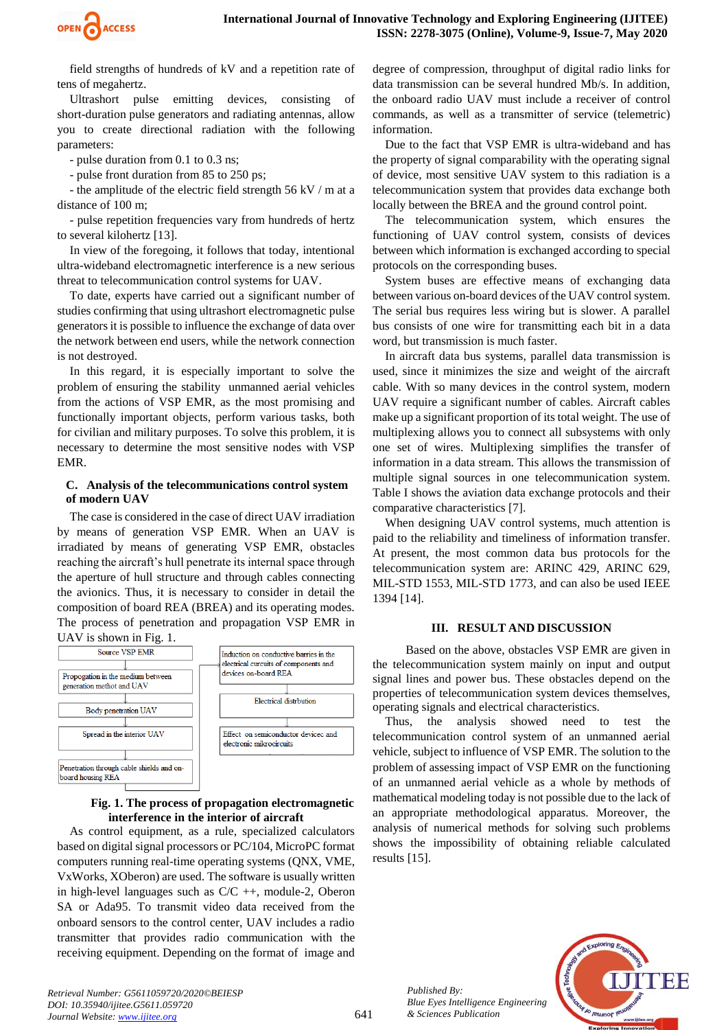

field strengths of hundreds of kV and a repetition rate of tens of megahertz.

Ultrashort pulse emitting devices, consisting of short-duration pulse generators and radiating antennas, allow you to create directional radiation with the following parameters:

- pulse duration from 0.1 to 0.3 ns;

- pulse front duration from 85 to 250 ps;

- the amplitude of the electric field strength 56 kV / m at a distance of 100 m;

- pulse repetition frequencies vary from hundreds of hertz to several kilohertz [13].

In view of the foregoing, it follows that today, intentional ultra-wideband electromagnetic interference is a new serious threat to telecommunication control systems for UAV.

To date, experts have carried out a significant number of studies confirming that using ultrashort electromagnetic pulse generators it is possible to influence the exchange of data over the network between end users, while the network connection is not destroyed.

In this regard, it is especially important to solve the problem of ensuring the stability unmanned aerial vehicles from the actions of VSP EMR, as the most promising and functionally important objects, perform various tasks, both for civilian and military purposes. To solve this problem, it is necessary to determine the most sensitive nodes with VSP EMR.

## **C. Analysis of the telecommunications control system of modern UAV**

The case is considered in the case of direct UAV irradiation by means of generation VSP EMR. When an UAV is irradiated by means of generating VSP EMR, obstacles reaching the aircraft's hull penetrate its internal space through the aperture of hull structure and through cables connecting the avionics. Thus, it is necessary to consider in detail the composition of board REA (BREA) and its operating modes. The process of penetration and propagation VSP EMR in



#### **Fig. 1. The process of propagation electromagnetic interference in the interior of aircraft**

As control equipment, as a rule, specialized calculators based on digital signal processors or PC/104, MicroPC format computers running real-time operating systems (QNX, VME, VxWorks, XOberon) are used. The software is usually written in high-level languages such as  $C/C ++$ , module-2, Oberon SA or Ada95. To transmit video data received from the onboard sensors to the control center, UAV includes a radio transmitter that provides radio communication with the receiving equipment. Depending on the format of image and degree of compression, throughput of digital radio links for data transmission can be several hundred Mb/s. In addition, the onboard radio UAV must include a receiver of control commands, as well as a transmitter of service (telemetric) information.

Due to the fact that VSP EMR is ultra-wideband and has the property of signal comparability with the operating signal of device, most sensitive UAV system to this radiation is a telecommunication system that provides data exchange both locally between the BREA and the ground control point.

The telecommunication system, which ensures the functioning of UAV control system, consists of devices between which information is exchanged according to special protocols on the corresponding buses.

System buses are effective means of exchanging data between various on-board devices of the UAV control system. The serial bus requires less wiring but is slower. A parallel bus consists of one wire for transmitting each bit in a data word, but transmission is much faster.

In aircraft data bus systems, parallel data transmission is used, since it minimizes the size and weight of the aircraft cable. With so many devices in the control system, modern UAV require a significant number of cables. Aircraft cables make up a significant proportion of its total weight. The use of multiplexing allows you to connect all subsystems with only one set of wires. Multiplexing simplifies the transfer of information in a data stream. This allows the transmission of multiple signal sources in one telecommunication system. Table I shows the aviation data exchange protocols and their comparative characteristics [7].

When designing UAV control systems, much attention is paid to the reliability and timeliness of information transfer. At present, the most common data bus protocols for the telecommunication system are: ARINC 429, ARINC 629, MIL-STD 1553, MIL-STD 1773, and can also be used IEEE 1394 [14].

#### **III. RESULT AND DISCUSSION**

Based on the above, obstacles VSP EMR are given in the telecommunication system mainly on input and output signal lines and power bus. These obstacles depend on the properties of telecommunication system devices themselves, operating signals and electrical characteristics.

Thus, the analysis showed need to test the telecommunication control system of an unmanned aerial vehicle, subject to influence of VSP EMR. The solution to the problem of assessing impact of VSP EMR on the functioning of an unmanned aerial vehicle as a whole by methods of mathematical modeling today is not possible due to the lack of an appropriate methodological apparatus. Moreover, the analysis of numerical methods for solving such problems shows the impossibility of obtaining reliable calculated results [15].

> *Published By: Blue Eyes Intelligence Engineering & Sciences Publication*

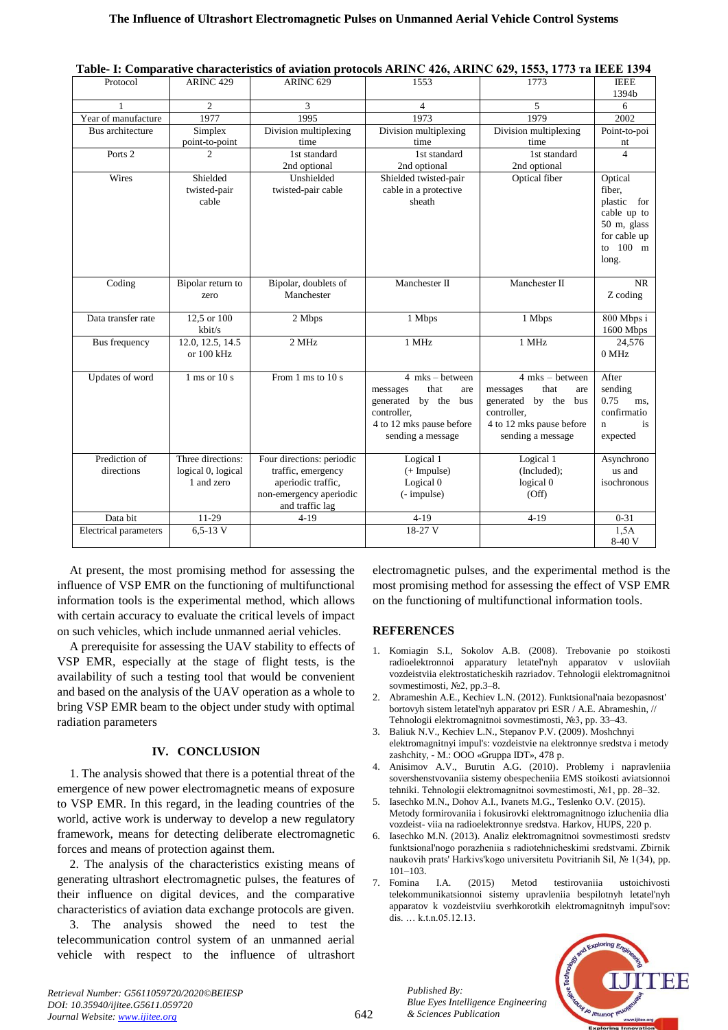|                              |                                  |                                            |                          | radic- 1. Comparative enaracteristics or a viation protocols mente 420, mente 027, 1990, 1779 Ta must 1994 |                      |
|------------------------------|----------------------------------|--------------------------------------------|--------------------------|------------------------------------------------------------------------------------------------------------|----------------------|
| Protocol                     | <b>ARINC 429</b>                 | ARINC <sub>629</sub>                       | 1553                     | 1773                                                                                                       | <b>IEEE</b><br>1394b |
|                              | $\overline{c}$                   | 3                                          | $\overline{4}$           | 5                                                                                                          | 6                    |
| Year of manufacture          | 1977                             | 1995                                       | 1973                     | 1979                                                                                                       | 2002                 |
| Bus architecture             | Simplex                          | Division multiplexing                      | Division multiplexing    | Division multiplexing                                                                                      | Point-to-poi         |
|                              | point-to-point                   | time                                       | time                     | time                                                                                                       | nt                   |
| Ports <sub>2</sub>           | $\mathcal{D}$                    | 1st standard                               | 1st standard             | 1st standard                                                                                               | $\Delta$             |
|                              |                                  | 2nd optional                               | 2nd optional             | 2nd optional                                                                                               |                      |
| Wires                        | Shielded                         | Unshielded                                 | Shielded twisted-pair    | Optical fiber                                                                                              | Optical              |
|                              | twisted-pair                     | twisted-pair cable                         | cable in a protective    |                                                                                                            | fiber,               |
|                              | cable                            |                                            | sheath                   |                                                                                                            | plastic for          |
|                              |                                  |                                            |                          |                                                                                                            | cable up to          |
|                              |                                  |                                            |                          |                                                                                                            | 50 m, glass          |
|                              |                                  |                                            |                          |                                                                                                            | for cable up         |
|                              |                                  |                                            |                          |                                                                                                            | to 100 m             |
|                              |                                  |                                            |                          |                                                                                                            | long.                |
|                              |                                  |                                            |                          |                                                                                                            |                      |
| Coding                       | Bipolar return to                | Bipolar, doublets of                       | Manchester II            | Manchester II                                                                                              | <b>NR</b>            |
|                              | zero                             | Manchester                                 |                          |                                                                                                            | Z coding             |
| Data transfer rate           | 12,5 or 100                      | 2 Mbps                                     | 1 Mbps                   | 1 Mbps                                                                                                     | 800 Mbps i           |
|                              | kbit/s                           |                                            |                          |                                                                                                            | 1600 Mbps            |
| Bus frequency                | 12.0, 12.5, 14.5                 | 2 MHz                                      | 1 MHz                    | 1 MHz                                                                                                      | 24.576               |
|                              | or $100$ kHz                     |                                            |                          |                                                                                                            | 0 MHz                |
|                              |                                  |                                            |                          |                                                                                                            |                      |
| Updates of word              | $1 \text{ ms}$ or $10 \text{ s}$ | From 1 ms to 10 s                          | $4$ mks – between        | $4$ mks - between                                                                                          | After                |
|                              |                                  |                                            | that<br>messages<br>are  | that<br>messages<br>are                                                                                    | sending              |
|                              |                                  |                                            | generated by the bus     | generated by the bus                                                                                       | 0.75<br>ms.          |
|                              |                                  |                                            | controller.              | controller.                                                                                                | confirmatio          |
|                              |                                  |                                            | 4 to 12 mks pause before | 4 to 12 mks pause before                                                                                   | is<br>n              |
|                              |                                  |                                            | sending a message        | sending a message                                                                                          | expected             |
|                              |                                  |                                            |                          |                                                                                                            |                      |
| Prediction of<br>directions  | Three directions:                | Four directions: periodic                  | Logical 1                | Logical 1                                                                                                  | Asynchrono<br>us and |
|                              | logical 0, logical<br>1 and zero | traffic, emergency                         | (+ Impulse)              | (Included);                                                                                                | isochronous          |
|                              |                                  | aperiodic traffic,                         | Logical 0                | logical 0<br>(Off)                                                                                         |                      |
|                              |                                  | non-emergency aperiodic<br>and traffic lag | (- impulse)              |                                                                                                            |                      |
| Data bit                     | 11-29                            | $4 - 19$                                   | $4 - 19$                 | $4 - 19$                                                                                                   | $0 - 31$             |
| <b>Electrical parameters</b> | $6, 5 - 13$ V                    |                                            | 18-27 V                  |                                                                                                            | 1,5A                 |
|                              |                                  |                                            |                          |                                                                                                            | 8-40 V               |
|                              |                                  |                                            |                          |                                                                                                            |                      |

**Table- I: Comparative characteristics of aviation protocols ARINC 426, ARINC 629, 1553, 1773 та IEEE 1394**

At present, the most promising method for assessing the influence of VSP EMR on the functioning of multifunctional information tools is the experimental method, which allows with certain accuracy to evaluate the critical levels of impact on such vehicles, which include unmanned aerial vehicles.

A prerequisite for assessing the UAV stability to effects of VSP EMR, especially at the stage of flight tests, is the availability of such a testing tool that would be convenient and based on the analysis of the UAV operation as a whole to bring VSP EMR beam to the object under study with optimal radiation parameters

# **IV. CONCLUSION**

1. The analysis showed that there is a potential threat of the emergence of new power electromagnetic means of exposure to VSP EMR. In this regard, in the leading countries of the world, active work is underway to develop a new regulatory framework, means for detecting deliberate electromagnetic forces and means of protection against them.

2. The analysis of the characteristics existing means of generating ultrashort electromagnetic pulses, the features of their influence on digital devices, and the comparative characteristics of aviation data exchange protocols are given.

3. The analysis showed the need to test the telecommunication control system of an unmanned aerial vehicle with respect to the influence of ultrashort electromagnetic pulses, and the experimental method is the most promising method for assessing the effect of VSP EMR on the functioning of multifunctional information tools.

### **REFERENCES**

- 1. Komiagin S.I., Sokolov A.B. (2008). Trebovanie po stoikosti radioelektronnoi apparatury letatel'nyh apparatov v usloviiah vozdeistviia elektrostaticheskih razriadov. Tehnologii elektromagnitnoi sovmestimosti, №2, pp.3–8.
- 2. Abrameshin A.E., Kechiev L.N. (2012). Funktsional'naia bezopasnost' bortovyh sistem letatel'nyh apparatov pri ESR / A.E. Abrameshin, // Tehnologii elektromagnitnoi sovmestimosti, №3, pp. 33–43.
- 3. Baliuk N.V., Kechiev L.N., Stepanov P.V. (2009). Moshchnyi elektromagnitnyi impul's: vozdeistvie na elektronnye sredstva i metody zashchity, - M.: OOO «Gruppa IDT», 478 р.
- 4. Anisimov A.V., Burutin A.G. (2010). Problemy i napravleniia sovershenstvovaniia sistemy obespecheniia EMS stoikosti aviatsionnoi tehniki. Tehnologii elektromagnitnoi sovmestimosti, №1, pp. 28–32.
- 5. Iasechko M.N., Dohov A.I., Ivanets M.G., Teslenko O.V. (2015). Metody formirovaniia i fokusirovki elektromagnitnogo izlucheniia dlia vozdeist- viia na radioelektronnye sredstva. Harkov, HUPS, 220 р.
- 6. Iasechko M.N. (2013). Analiz elektromagnitnoi sovmestimosti sredstv funktsional'nogo porazheniia s radiotehnicheskimi sredstvami. Zbіrnik naukovih prats' Harkіvs'kogo unіversitetu Povіtrianih Sil, № 1(34), pp. 101–103.
- 7. Fomina I.A. (2015) Metod testirovaniia ustoichivosti telekommunikatsionnoi sistemy upravleniia bespilotnyh letatel'nyh apparatov k vozdeistviiu sverhkorotkih elektromagnitnyh impul'sov: dis. … k.t.n.05.12.13.